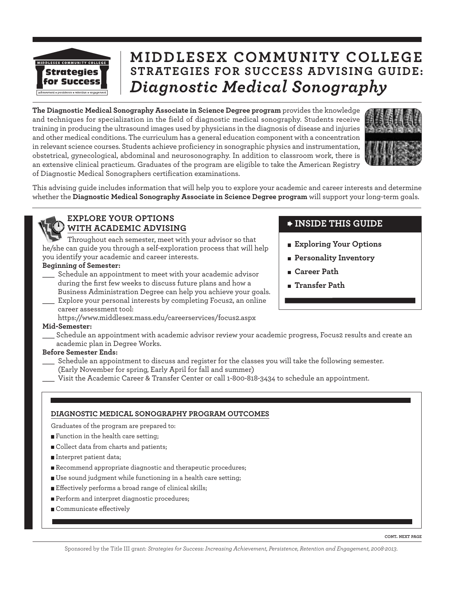

# **MIDDLESEX COMMUNITY COLLEGE STRATEGIES FOR SUCCESS ADVISING GUIDE:** *Diagnostic Medical Sonography*

**The Diagnostic Medical Sonography Associate in Science Degree program** provides the knowledge and techniques for specialization in the field of diagnostic medical sonography. Students receive training in producing the ultrasound images used by physicians in the diagnosis of disease and injuries and other medical conditions. The curriculum has a general education component with a concentration in relevant science courses. Students achieve proficiency in sonographic physics and instrumentation, obstetrical, gynecological, abdominal and neurosonography. In addition to classroom work, there is an extensive clinical practicum. Graduates of the program are eligible to take the American Registry of Diagnostic Medical Sonographers certification examinations.



This advising guide includes information that will help you to explore your academic and career interests and determine whether the **Diagnostic Medical Sonography Associate in Science Degree program** will support your long-term goals.

## **EXPLORE YOUR OPTIONS WITH ACADEMIC ADVISING**

Throughout each semester, meet with your advisor so that he/she can guide you through a self-exploration process that will help you identify your academic and career interests.

#### **Beginning of Semester:**

- \_\_\_ Schedule an appointment to meet with your academic advisor during the first few weeks to discuss future plans and how a Business Administration Degree can help you achieve your goals.
- Explore your personal interests by completing Focus2, an online career assessment tool:
- https://www.middlesex.mass.edu/careerservices/focus2.aspx

#### **Mid-Semester:**

Schedule an appointment with academic advisor review your academic progress, Focus2 results and create an academic plan in Degree Works.

#### **Before Semester Ends:**

- Schedule an appointment to discuss and register for the classes you will take the following semester. (Early November for spring, Early April for fall and summer)
- Visit the Academic Career & Transfer Center or call 1-800-818-3434 to schedule an appointment.

#### **DIAGNOSTIC MEDICAL SONOGRAPHY PROGRAM OUTCOMES**

Graduates of the program are prepared to:

- **Function in the health care setting;**
- Collect data from charts and patients;
- Interpret patient data;
- Recommend appropriate diagnostic and therapeutic procedures;
- Use sound judgment while functioning in a health care setting;
- Effectively performs a broad range of clinical skills;
- Perform and interpret diagnostic procedures;
- Communicate effectively

## **INSIDE THIS GUIDE**

- **Exploring Your Options**
- **Personality Inventory**
- **Career Path**
- **Transfer Path**

Sponsored by the Title III grant: *Strategies for Success: Increasing Achievement, Persistence, Retention and Engagement, 2008-2013*.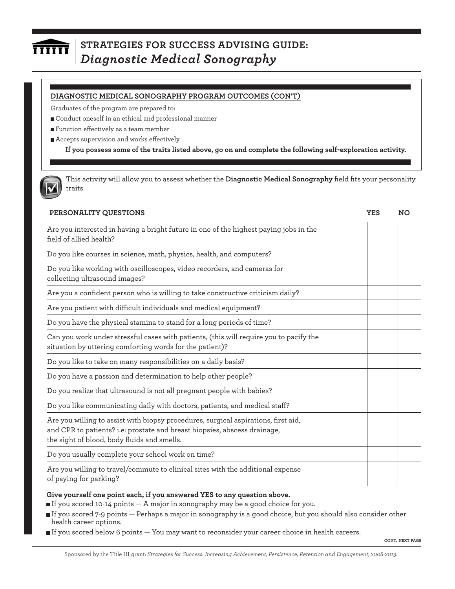### **STRATEGIES FOR SUCCESS ADVISING GUIDE:**   $\overline{\overline{\mathbf{rrrrr}}}$ *Diagnostic Medical Sonography*

#### **DIAGNOSTIC MEDICAL SONOGRAPHY PROGRAM OUTCOMES (CON'T)**

Graduates of the program are prepared to:

Conduct oneself in an ethical and professional manner

**F**unction effectively as a team member

Accepts supervision and works effectively

**If you possess some of the traits listed above, go on and complete the following self-exploration activity.**

This activity will allow you to assess whether the **Diagnostic Medical Sonography** field fits your personality traits.

| PERSONALITY QUESTIONS                                                                                                                                                                                          | <b>YES</b> | <b>NO</b> |
|----------------------------------------------------------------------------------------------------------------------------------------------------------------------------------------------------------------|------------|-----------|
| Are you interested in having a bright future in one of the highest paying jobs in the<br>field of allied health?                                                                                               |            |           |
| Do you like courses in science, math, physics, health, and computers?                                                                                                                                          |            |           |
| Do you like working with oscilloscopes, video recorders, and cameras for<br>collecting ultrasound images?                                                                                                      |            |           |
| Are you a confident person who is willing to take constructive criticism daily?                                                                                                                                |            |           |
| Are you patient with difficult individuals and medical equipment?                                                                                                                                              |            |           |
| Do you have the physical stamina to stand for a long periods of time?                                                                                                                                          |            |           |
| Can you work under stressful cases with patients, (this will require you to pacify the<br>situation by uttering comforting words for the patient)?                                                             |            |           |
| Do you like to take on many responsibilities on a daily basis?                                                                                                                                                 |            |           |
| Do you have a passion and determination to help other people?                                                                                                                                                  |            |           |
| Do you realize that ultrasound is not all pregnant people with babies?                                                                                                                                         |            |           |
| Do you like communicating daily with doctors, patients, and medical staff?                                                                                                                                     |            |           |
| Are you willing to assist with biopsy procedures, surgical aspirations, first aid,<br>and CPR to patients? i.e: prostate and breast biopsies, abscess drainage,<br>the sight of blood, body fluids and smells. |            |           |
| Do you usually complete your school work on time?                                                                                                                                                              |            |           |
| Are you willing to travel/commute to clinical sites with the additional expense<br>of paying for parking?                                                                                                      |            |           |

#### **Give yourself one point each, if you answered YES to any question above.**

If you scored 10-14 points — A major in sonography may be a good choice for you.

If you scored 7-9 points — Perhaps a major in sonography is a good choice, but you should also consider other health career options.

If you scored below 6 points — You may want to reconsider your career choice in health careers.

**CONT. NEXT PAGE**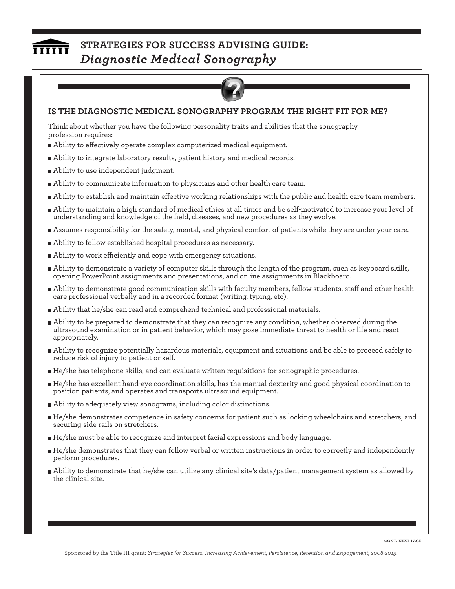## **STRATEGIES FOR SUCCESS ADVISING GUIDE:**   $\overline{\overline{\mathbf{H}}\overline{\mathbf{H}}\overline{\mathbf{H}}\overline{\mathbf{H}}}$ *Diagnostic Medical Sonography*



## **IS THE DIAGNOSTIC MEDICAL SONOGRAPHY PROGRAM THE RIGHT FIT FOR ME?**

Think about whether you have the following personality traits and abilities that the sonography profession requires:

- Ability to effectively operate complex computerized medical equipment.
- Ability to integrate laboratory results, patient history and medical records.
- Ability to use independent judgment.
- Ability to communicate information to physicians and other health care team.
- Ability to establish and maintain effective working relationships with the public and health care team members.
- Ability to maintain a high standard of medical ethics at all times and be self-motivated to increase your level of understanding and knowledge of the field, diseases, and new procedures as they evolve.
- Assumes responsibility for the safety, mental, and physical comfort of patients while they are under your care.
- Ability to follow established hospital procedures as necessary.
- Ability to work efficiently and cope with emergency situations.
- Ability to demonstrate a variety of computer skills through the length of the program, such as keyboard skills, opening PowerPoint assignments and presentations, and online assignments in Blackboard.
- Ability to demonstrate good communication skills with faculty members, fellow students, staff and other health care professional verbally and in a recorded format (writing, typing, etc).
- Ability that he/she can read and comprehend technical and professional materials.
- Ability to be prepared to demonstrate that they can recognize any condition, whether observed during the ultrasound examination or in patient behavior, which may pose immediate threat to health or life and react appropriately.
- Ability to recognize potentially hazardous materials, equipment and situations and be able to proceed safely to reduce risk of injury to patient or self.
- He/she has telephone skills, and can evaluate written requisitions for sonographic procedures.
- He/she has excellent hand-eye coordination skills, has the manual dexterity and good physical coordination to position patients, and operates and transports ultrasound equipment.
- Ability to adequately view sonograms, including color distinctions.
- He/she demonstrates competence in safety concerns for patient such as locking wheelchairs and stretchers, and securing side rails on stretchers.
- He/she must be able to recognize and interpret facial expressions and body language.
- He/she demonstrates that they can follow verbal or written instructions in order to correctly and independently perform procedures.
- Ability to demonstrate that he/she can utilize any clinical site's data/patient management system as allowed by the clinical site.